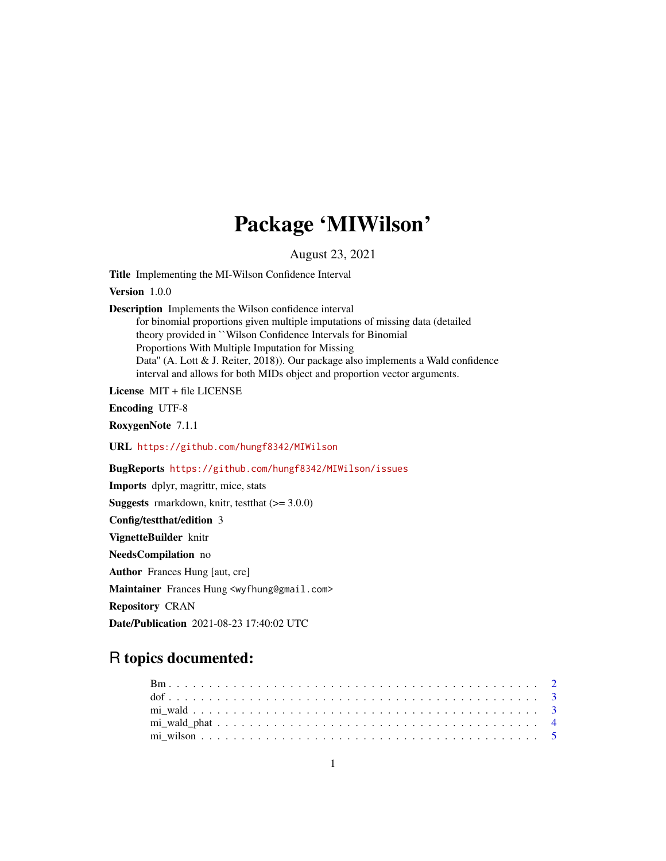# Package 'MIWilson'

August 23, 2021

Title Implementing the MI-Wilson Confidence Interval

Version 1.0.0

Description Implements the Wilson confidence interval

for binomial proportions given multiple imputations of missing data (detailed theory provided in ``Wilson Confidence Intervals for Binomial Proportions With Multiple Imputation for Missing Data'' (A. Lott & J. Reiter, 2018)). Our package also implements a Wald confidence interval and allows for both MIDs object and proportion vector arguments.

License MIT + file LICENSE

Encoding UTF-8

RoxygenNote 7.1.1

URL <https://github.com/hungf8342/MIWilson>

BugReports <https://github.com/hungf8342/MIWilson/issues>

Imports dplyr, magrittr, mice, stats

**Suggests** rmarkdown, knitr, test that  $(>= 3.0.0)$ 

Config/testthat/edition 3

VignetteBuilder knitr

NeedsCompilation no

Author Frances Hung [aut, cre]

Maintainer Frances Hung <wyfhung@gmail.com>

Repository CRAN

Date/Publication 2021-08-23 17:40:02 UTC

# R topics documented: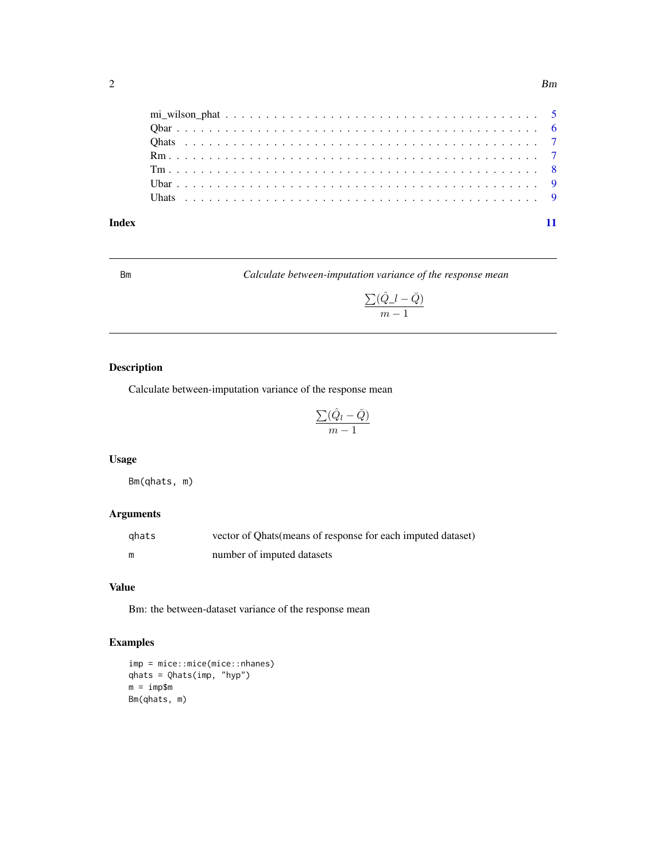<span id="page-1-0"></span>

Bm *Calculate between-imputation variance of the response mean*

$$
\frac{\sum (\hat{Q}\_l - \bar{Q})}{m-1}
$$

# Description

Calculate between-imputation variance of the response mean

$$
\frac{\sum (\hat{Q}_l - \bar{Q})}{m-1}
$$

#### Usage

Bm(qhats, m)

# Arguments

| ghats | vector of Qhats (means of response for each imputed dataset) |
|-------|--------------------------------------------------------------|
| m     | number of imputed datasets                                   |

#### Value

Bm: the between-dataset variance of the response mean

```
imp = mice::mice(mice::nhanes)
qhats = Qhats(imp, "hyp")
m = imp$m
Bm(qhats, m)
```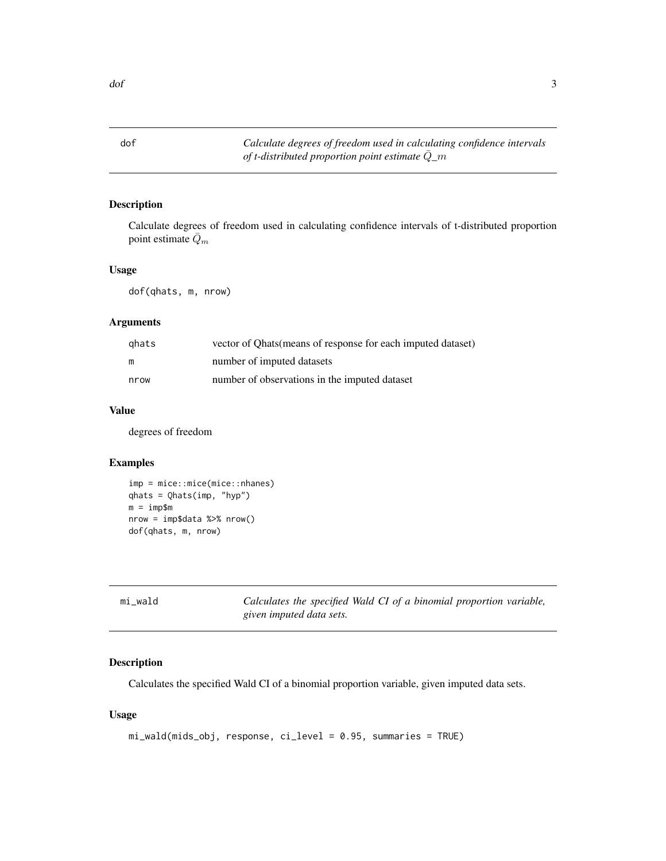<span id="page-2-0"></span>dof *Calculate degrees of freedom used in calculating confidence intervals of t-distributed proportion point estimate* Q¯*\_*m

#### Description

Calculate degrees of freedom used in calculating confidence intervals of t-distributed proportion point estimate  $\bar{Q}_m$ 

#### Usage

dof(qhats, m, nrow)

#### Arguments

| ghats | vector of Qhats (means of response for each imputed dataset) |
|-------|--------------------------------------------------------------|
| m     | number of imputed datasets                                   |
| nrow  | number of observations in the imputed dataset                |

#### Value

degrees of freedom

#### Examples

```
imp = mice::mice(mice::nhanes)
qhats = Qhats(imp, "hyp")
m = imp$m
nrow = imp$data %>% nrow()
dof(qhats, m, nrow)
```
<span id="page-2-1"></span>

| mi wald | Calculates the specified Wald CI of a binomial proportion variable, |
|---------|---------------------------------------------------------------------|
|         | given imputed data sets.                                            |

#### Description

Calculates the specified Wald CI of a binomial proportion variable, given imputed data sets.

#### Usage

```
mi_wald(mids_obj, response, ci_level = 0.95, summaries = TRUE)
```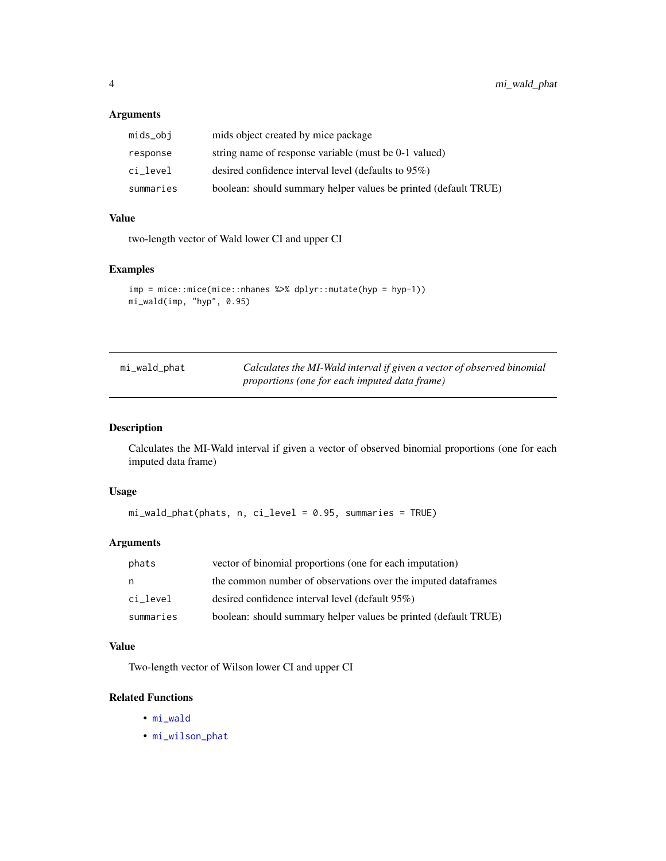#### <span id="page-3-0"></span>Arguments

| mids_obj  | mids object created by mice package                             |
|-----------|-----------------------------------------------------------------|
| response  | string name of response variable (must be 0-1 valued)           |
| ci level  | desired confidence interval level (defaults to $95\%$ )         |
| summaries | boolean: should summary helper values be printed (default TRUE) |

#### Value

two-length vector of Wald lower CI and upper CI

#### Examples

```
imp = mice::mice(mice::nhanes %>% dplyr::mutate(hyp = hyp-1))
mi_wald(imp, "hyp", 0.95)
```

| mi_wald_phat | Calculates the MI-Wald interval if given a vector of observed binomial |
|--------------|------------------------------------------------------------------------|
|              | <i>proportions (one for each imputed data frame)</i>                   |

#### Description

Calculates the MI-Wald interval if given a vector of observed binomial proportions (one for each imputed data frame)

#### Usage

```
mi_wald_phat(phats, n, ci_level = 0.95, summaries = TRUE)
```
#### Arguments

| phats     | vector of binomial proportions (one for each imputation)        |
|-----------|-----------------------------------------------------------------|
| n         | the common number of observations over the imputed dataframes   |
| ci level  | desired confidence interval level (default 95%)                 |
| summaries | boolean: should summary helper values be printed (default TRUE) |

#### Value

Two-length vector of Wilson lower CI and upper CI

#### Related Functions

- [mi\\_wald](#page-2-1)
- [mi\\_wilson\\_phat](#page-4-1)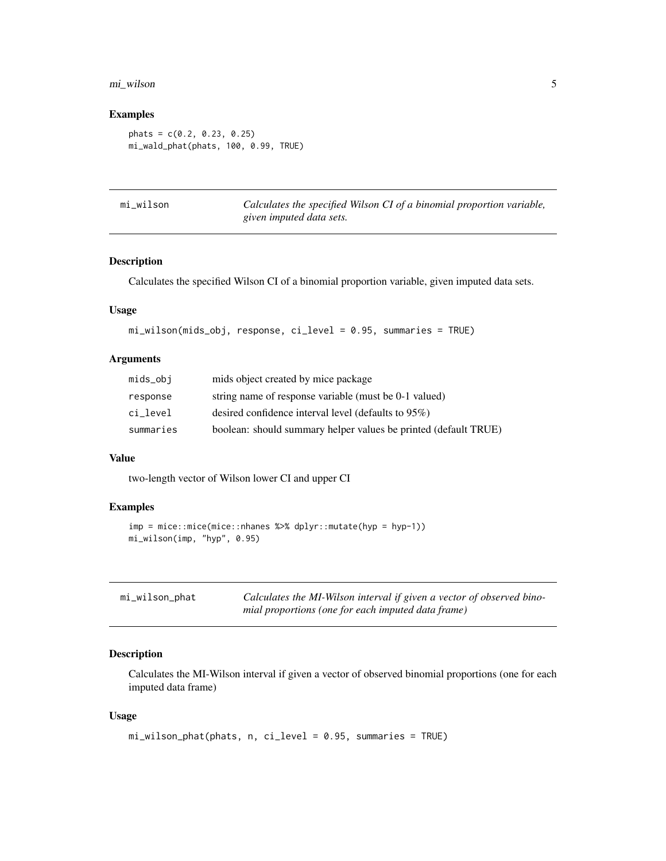#### <span id="page-4-0"></span>mi\_wilson 5

#### Examples

```
phats = c(0.2, 0.23, 0.25)
mi_wald_phat(phats, 100, 0.99, TRUE)
```

|  | mi_wilson |  |
|--|-----------|--|
|  |           |  |

Calculates the specified Wilson CI of a binomial proportion variable, *given imputed data sets.*

#### Description

Calculates the specified Wilson CI of a binomial proportion variable, given imputed data sets.

#### Usage

```
mi_wilson(mids_obj, response, ci_level = 0.95, summaries = TRUE)
```
#### Arguments

| mids_obj  | mids object created by mice package                             |
|-----------|-----------------------------------------------------------------|
| response  | string name of response variable (must be 0-1 valued)           |
| ci level  | desired confidence interval level (defaults to $95\%$ )         |
| summaries | boolean: should summary helper values be printed (default TRUE) |

#### Value

two-length vector of Wilson lower CI and upper CI

#### Examples

```
imp = mice::mice(mice::nhanes %>% dplyr::mutate(hyp = hyp-1))
mi_wilson(imp, "hyp", 0.95)
```
<span id="page-4-1"></span>

| mi_wilson_phat | Calculates the MI-Wilson interval if given a vector of observed bino- |
|----------------|-----------------------------------------------------------------------|
|                | mial proportions (one for each imputed data frame)                    |

#### Description

Calculates the MI-Wilson interval if given a vector of observed binomial proportions (one for each imputed data frame)

#### Usage

```
mi_wilson_phat(phats, n, ci_level = 0.95, summaries = TRUE)
```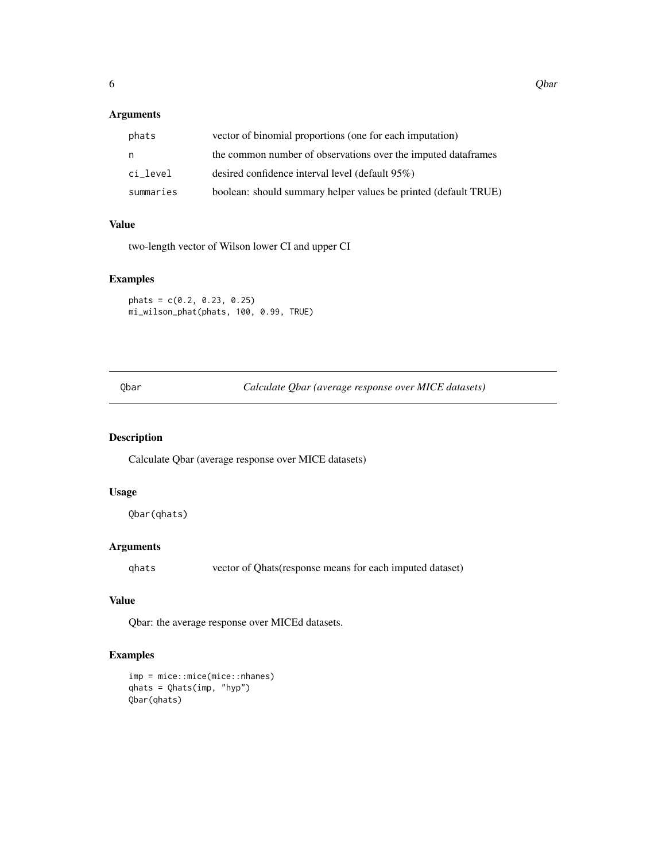#### <span id="page-5-0"></span>Arguments

| phats     | vector of binomial proportions (one for each imputation)        |
|-----------|-----------------------------------------------------------------|
| n         | the common number of observations over the imputed dataframes   |
| ci level  | desired confidence interval level (default 95%)                 |
| summaries | boolean: should summary helper values be printed (default TRUE) |

#### Value

two-length vector of Wilson lower CI and upper CI

#### Examples

```
{\rm phats} = c(0.2, 0.23, 0.25)mi_wilson_phat(phats, 100, 0.99, TRUE)
```
Qbar *Calculate Qbar (average response over MICE datasets)*

#### Description

Calculate Qbar (average response over MICE datasets)

#### Usage

Qbar(qhats)

#### Arguments

qhats vector of Qhats(response means for each imputed dataset)

#### Value

Qbar: the average response over MICEd datasets.

```
imp = mice::mice(mice::nhanes)
qhats = Qhats(imp, "hyp")
Qbar(qhats)
```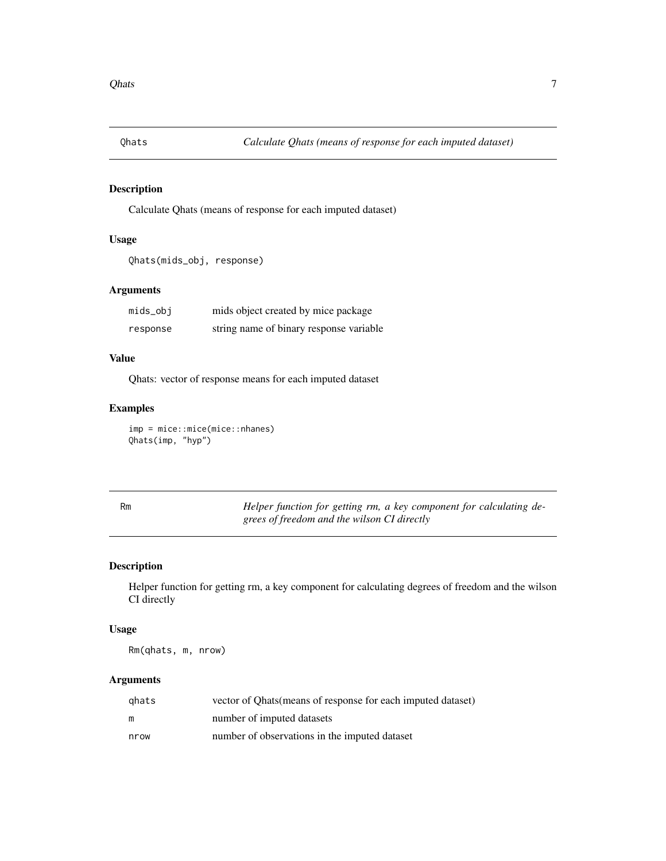<span id="page-6-0"></span>

### Description

Calculate Qhats (means of response for each imputed dataset)

# Usage

```
Qhats(mids_obj, response)
```
#### Arguments

| mids_obj | mids object created by mice package     |
|----------|-----------------------------------------|
| response | string name of binary response variable |

#### Value

Qhats: vector of response means for each imputed dataset

#### Examples

imp = mice::mice(mice::nhanes) Qhats(imp, "hyp")

| Rm | Helper function for getting rm, a key component for calculating de- |
|----|---------------------------------------------------------------------|
|    | grees of freedom and the wilson CI directly                         |

#### Description

Helper function for getting rm, a key component for calculating degrees of freedom and the wilson CI directly

### Usage

Rm(qhats, m, nrow)

#### Arguments

| ghats | vector of Ohats (means of response for each imputed dataset) |
|-------|--------------------------------------------------------------|
| m     | number of imputed datasets                                   |
| nrow  | number of observations in the imputed dataset                |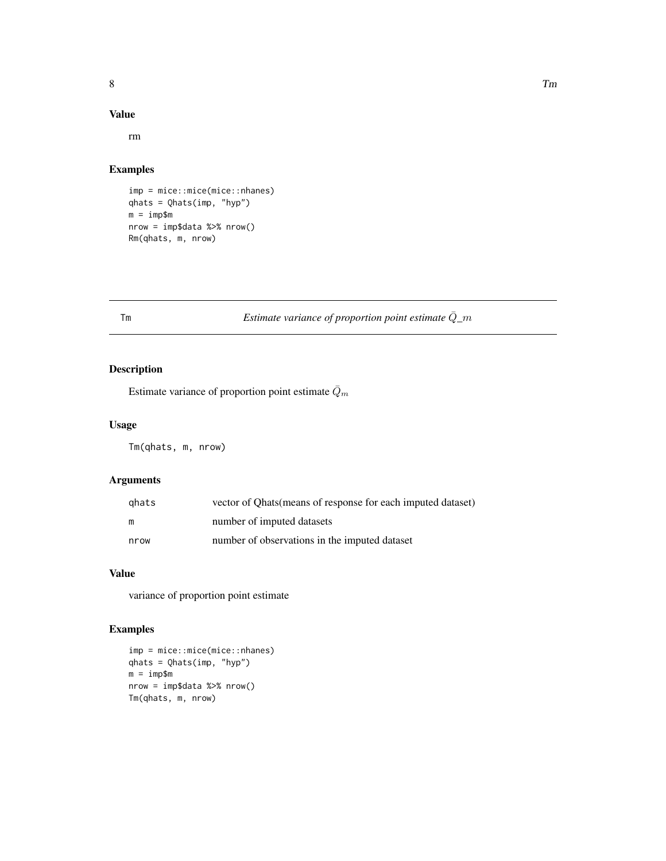#### <span id="page-7-0"></span>Value

rm

#### Examples

```
imp = mice::mice(mice::nhanes)
qhats = Qhats(imp, "hyp")
m = imp$m
nrow = imp$data %>% nrow()
Rm(qhats, m, nrow)
```
# Tm *Estimate variance of proportion point estimate* $\overline{Q}_m$

# Description

Estimate variance of proportion point estimate  $\bar{Q}_m$ 

#### Usage

Tm(qhats, m, nrow)

#### Arguments

| qhats | vector of Ohats (means of response for each imputed dataset) |
|-------|--------------------------------------------------------------|
| m     | number of imputed datasets                                   |
| nrow  | number of observations in the imputed dataset                |

#### Value

variance of proportion point estimate

```
imp = mice::mice(mice::nhanes)
qhats = Qhats(imp, "hyp")
m = imp$m
nrow = imp$data %>% nrow()
Tm(qhats, m, nrow)
```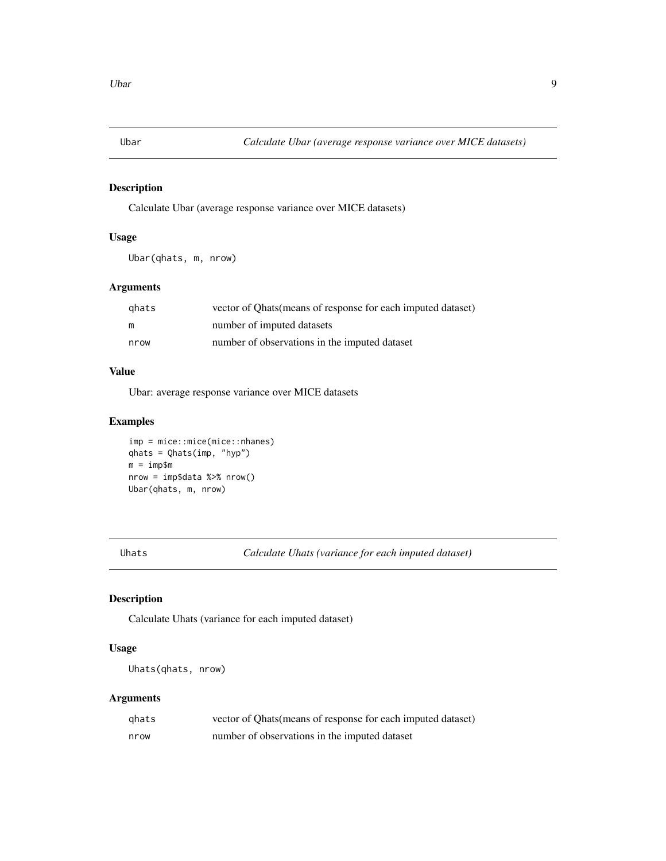<span id="page-8-0"></span>

#### Description

Calculate Ubar (average response variance over MICE datasets)

#### Usage

Ubar(qhats, m, nrow)

#### Arguments

| ahats | vector of Ohats (means of response for each imputed dataset) |
|-------|--------------------------------------------------------------|
| m     | number of imputed datasets                                   |
| nrow  | number of observations in the imputed dataset                |

### Value

Ubar: average response variance over MICE datasets

#### Examples

```
imp = mice::mice(mice::nhanes)
qhats = Qhats(imp, "hyp")
m = imp$m
nrow = imp$data %>% nrow()
Ubar(qhats, m, nrow)
```
Uhats *Calculate Uhats (variance for each imputed dataset)*

#### Description

Calculate Uhats (variance for each imputed dataset)

#### Usage

Uhats(qhats, nrow)

#### Arguments

| ghats | vector of Qhats (means of response for each imputed dataset) |
|-------|--------------------------------------------------------------|
| nrow  | number of observations in the imputed dataset                |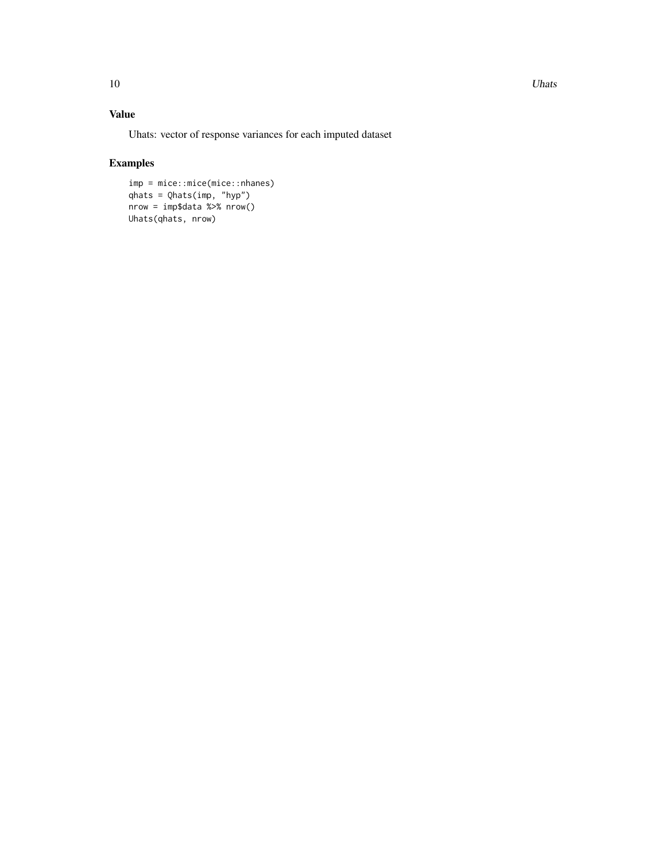10 Uhats and the Uhats of the Uhats of the Uhats of the Uhats of the Uhats of the Uhats of the Uhats of the Uhats of the Uhats of the Uhats of the Uhats of the Uhats of the Uhats of the Uhats of the Uhats of the Uhats of t

# Value

Uhats: vector of response variances for each imputed dataset

```
imp = mice::mice(mice::nhanes)
qhats = Qhats(imp, "hyp")
nrow = imp$data %>% nrow()
Uhats(qhats, nrow)
```